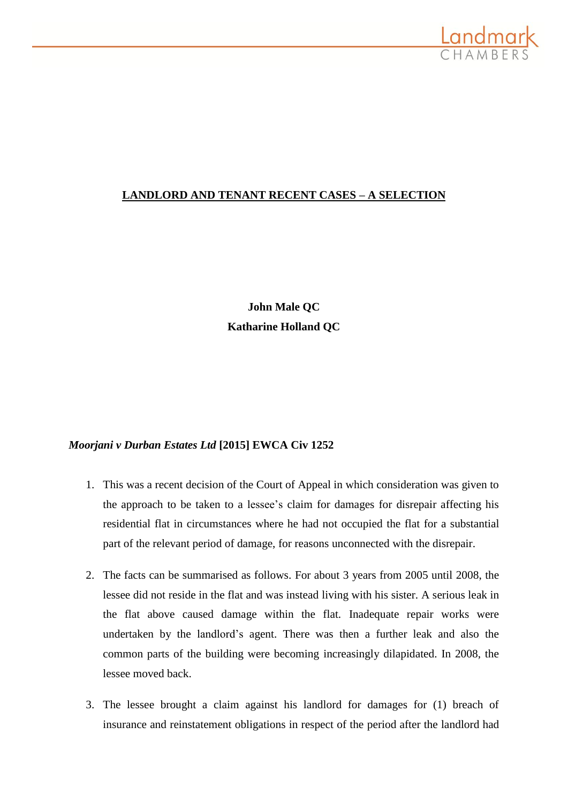

# **LANDLORD AND TENANT RECENT CASES – A SELECTION**

**John Male QC Katharine Holland QC**

## *Moorjani v Durban Estates Ltd* **[2015] EWCA Civ 1252**

- 1. This was a recent decision of the Court of Appeal in which consideration was given to the approach to be taken to a lessee's claim for damages for disrepair affecting his residential flat in circumstances where he had not occupied the flat for a substantial part of the relevant period of damage, for reasons unconnected with the disrepair.
- 2. The facts can be summarised as follows. For about 3 years from 2005 until 2008, the lessee did not reside in the flat and was instead living with his sister. A serious leak in the flat above caused damage within the flat. Inadequate repair works were undertaken by the landlord's agent. There was then a further leak and also the common parts of the building were becoming increasingly dilapidated. In 2008, the lessee moved back.
- 3. The lessee brought a claim against his landlord for damages for (1) breach of insurance and reinstatement obligations in respect of the period after the landlord had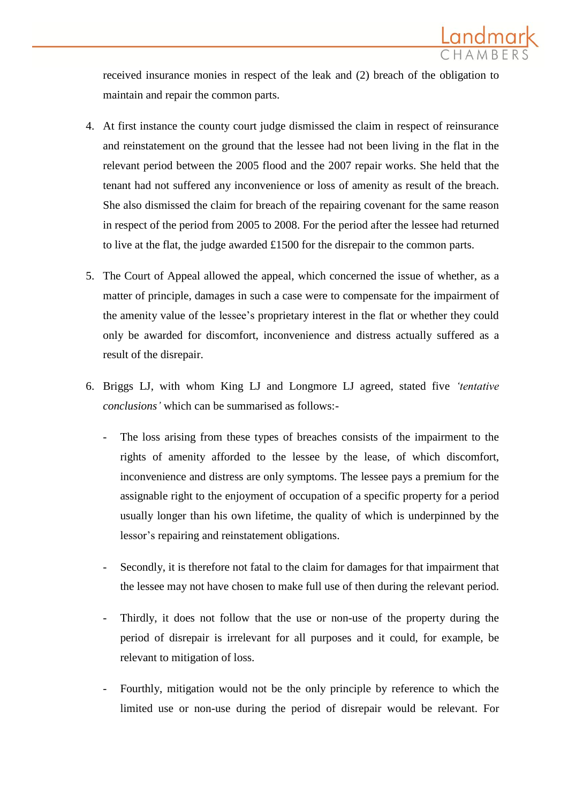

received insurance monies in respect of the leak and (2) breach of the obligation to maintain and repair the common parts.

- 4. At first instance the county court judge dismissed the claim in respect of reinsurance and reinstatement on the ground that the lessee had not been living in the flat in the relevant period between the 2005 flood and the 2007 repair works. She held that the tenant had not suffered any inconvenience or loss of amenity as result of the breach. She also dismissed the claim for breach of the repairing covenant for the same reason in respect of the period from 2005 to 2008. For the period after the lessee had returned to live at the flat, the judge awarded £1500 for the disrepair to the common parts.
- 5. The Court of Appeal allowed the appeal, which concerned the issue of whether, as a matter of principle, damages in such a case were to compensate for the impairment of the amenity value of the lessee's proprietary interest in the flat or whether they could only be awarded for discomfort, inconvenience and distress actually suffered as a result of the disrepair.
- 6. Briggs LJ, with whom King LJ and Longmore LJ agreed, stated five *'tentative conclusions'* which can be summarised as follows:-
	- The loss arising from these types of breaches consists of the impairment to the rights of amenity afforded to the lessee by the lease, of which discomfort, inconvenience and distress are only symptoms. The lessee pays a premium for the assignable right to the enjoyment of occupation of a specific property for a period usually longer than his own lifetime, the quality of which is underpinned by the lessor's repairing and reinstatement obligations.
	- Secondly, it is therefore not fatal to the claim for damages for that impairment that the lessee may not have chosen to make full use of then during the relevant period.
	- Thirdly, it does not follow that the use or non-use of the property during the period of disrepair is irrelevant for all purposes and it could, for example, be relevant to mitigation of loss.
	- Fourthly, mitigation would not be the only principle by reference to which the limited use or non-use during the period of disrepair would be relevant. For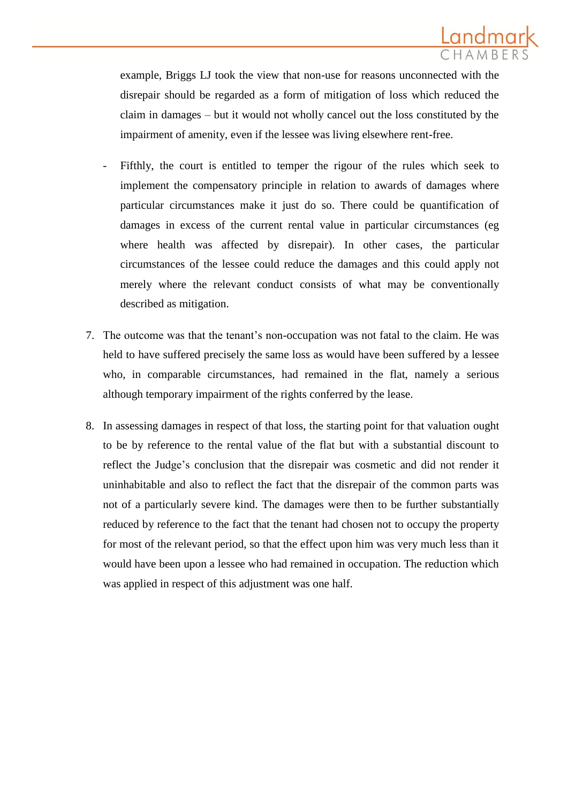

example, Briggs LJ took the view that non-use for reasons unconnected with the disrepair should be regarded as a form of mitigation of loss which reduced the claim in damages – but it would not wholly cancel out the loss constituted by the impairment of amenity, even if the lessee was living elsewhere rent-free.

- Fifthly, the court is entitled to temper the rigour of the rules which seek to implement the compensatory principle in relation to awards of damages where particular circumstances make it just do so. There could be quantification of damages in excess of the current rental value in particular circumstances (eg where health was affected by disrepair). In other cases, the particular circumstances of the lessee could reduce the damages and this could apply not merely where the relevant conduct consists of what may be conventionally described as mitigation.
- 7. The outcome was that the tenant's non-occupation was not fatal to the claim. He was held to have suffered precisely the same loss as would have been suffered by a lessee who, in comparable circumstances, had remained in the flat, namely a serious although temporary impairment of the rights conferred by the lease.
- 8. In assessing damages in respect of that loss, the starting point for that valuation ought to be by reference to the rental value of the flat but with a substantial discount to reflect the Judge's conclusion that the disrepair was cosmetic and did not render it uninhabitable and also to reflect the fact that the disrepair of the common parts was not of a particularly severe kind. The damages were then to be further substantially reduced by reference to the fact that the tenant had chosen not to occupy the property for most of the relevant period, so that the effect upon him was very much less than it would have been upon a lessee who had remained in occupation. The reduction which was applied in respect of this adjustment was one half.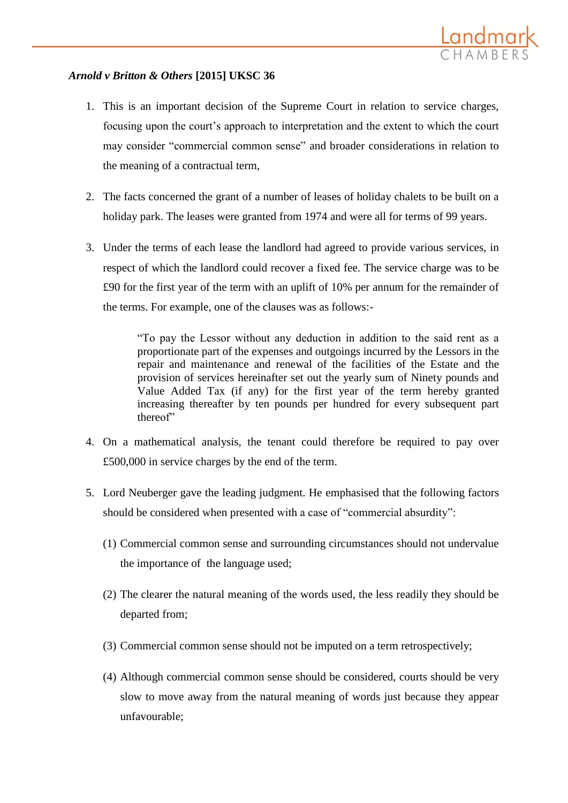## *Arnold v Britton & Others* **[2015] UKSC 36**

- 1. This is an important decision of the Supreme Court in relation to service charges, focusing upon the court's approach to interpretation and the extent to which the court may consider "commercial common sense" and broader considerations in relation to the meaning of a contractual term,
- 2. The facts concerned the grant of a number of leases of holiday chalets to be built on a holiday park. The leases were granted from 1974 and were all for terms of 99 years.
- 3. Under the terms of each lease the landlord had agreed to provide various services, in respect of which the landlord could recover a fixed fee. The service charge was to be £90 for the first year of the term with an uplift of 10% per annum for the remainder of the terms. For example, one of the clauses was as follows:-

"To pay the Lessor without any deduction in addition to the said rent as a proportionate part of the expenses and outgoings incurred by the Lessors in the repair and maintenance and renewal of the facilities of the Estate and the provision of services hereinafter set out the yearly sum of Ninety pounds and Value Added Tax (if any) for the first year of the term hereby granted increasing thereafter by ten pounds per hundred for every subsequent part thereof"

- 4. On a mathematical analysis, the tenant could therefore be required to pay over £500,000 in service charges by the end of the term.
- 5. Lord Neuberger gave the leading judgment. He emphasised that the following factors should be considered when presented with a case of "commercial absurdity":
	- (1) Commercial common sense and surrounding circumstances should not undervalue the importance of the language used;
	- (2) The clearer the natural meaning of the words used, the less readily they should be departed from;
	- (3) Commercial common sense should not be imputed on a term retrospectively;
	- (4) Although commercial common sense should be considered, courts should be very slow to move away from the natural meaning of words just because they appear unfavourable;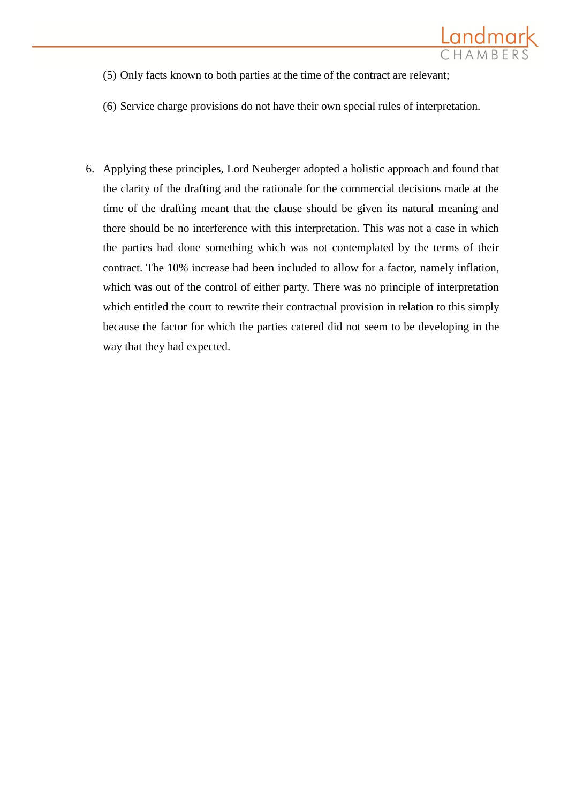

- (5) Only facts known to both parties at the time of the contract are relevant;
- (6) Service charge provisions do not have their own special rules of interpretation.
- 6. Applying these principles, Lord Neuberger adopted a holistic approach and found that the clarity of the drafting and the rationale for the commercial decisions made at the time of the drafting meant that the clause should be given its natural meaning and there should be no interference with this interpretation. This was not a case in which the parties had done something which was not contemplated by the terms of their contract. The 10% increase had been included to allow for a factor, namely inflation, which was out of the control of either party. There was no principle of interpretation which entitled the court to rewrite their contractual provision in relation to this simply because the factor for which the parties catered did not seem to be developing in the way that they had expected.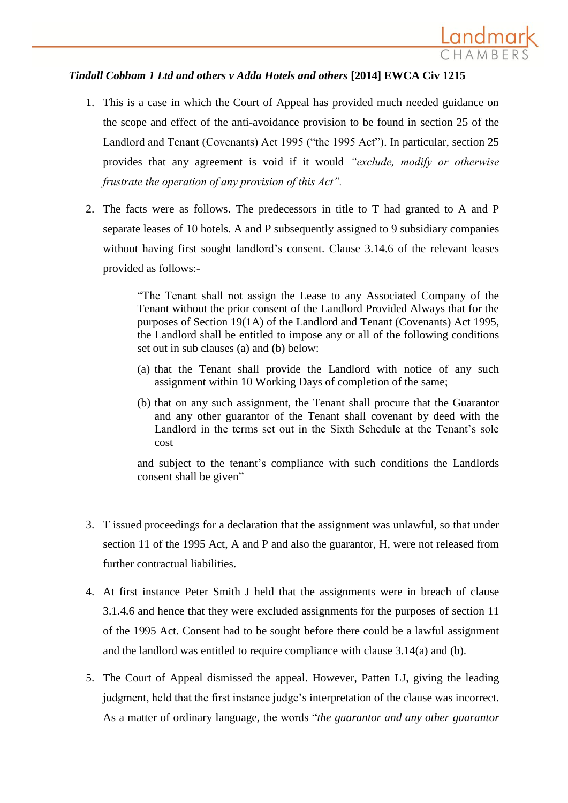## *Tindall Cobham 1 Ltd and others v Adda Hotels and others* **[2014] EWCA Civ 1215**

1. This is a case in which the Court of Appeal has provided much needed guidance on the scope and effect of the anti-avoidance provision to be found in section 25 of the Landlord and Tenant (Covenants) Act 1995 ("the 1995 Act"). In particular, section 25 provides that any agreement is void if it would *"exclude, modify or otherwise frustrate the operation of any provision of this Act".*

<u>Landmark</u>

2. The facts were as follows. The predecessors in title to T had granted to A and P separate leases of 10 hotels. A and P subsequently assigned to 9 subsidiary companies without having first sought landlord's consent. Clause 3.14.6 of the relevant leases provided as follows:-

> "The Tenant shall not assign the Lease to any Associated Company of the Tenant without the prior consent of the Landlord Provided Always that for the purposes of Section 19(1A) of the Landlord and Tenant (Covenants) Act 1995, the Landlord shall be entitled to impose any or all of the following conditions set out in sub clauses (a) and (b) below:

- (a) that the Tenant shall provide the Landlord with notice of any such assignment within 10 Working Days of completion of the same;
- (b) that on any such assignment, the Tenant shall procure that the Guarantor and any other guarantor of the Tenant shall covenant by deed with the Landlord in the terms set out in the Sixth Schedule at the Tenant's sole cost

and subject to the tenant's compliance with such conditions the Landlords consent shall be given"

- 3. T issued proceedings for a declaration that the assignment was unlawful, so that under section 11 of the 1995 Act, A and P and also the guarantor, H, were not released from further contractual liabilities.
- 4. At first instance Peter Smith J held that the assignments were in breach of clause 3.1.4.6 and hence that they were excluded assignments for the purposes of section 11 of the 1995 Act. Consent had to be sought before there could be a lawful assignment and the landlord was entitled to require compliance with clause 3.14(a) and (b).
- 5. The Court of Appeal dismissed the appeal. However, Patten LJ, giving the leading judgment, held that the first instance judge's interpretation of the clause was incorrect. As a matter of ordinary language, the words "*the guarantor and any other guarantor*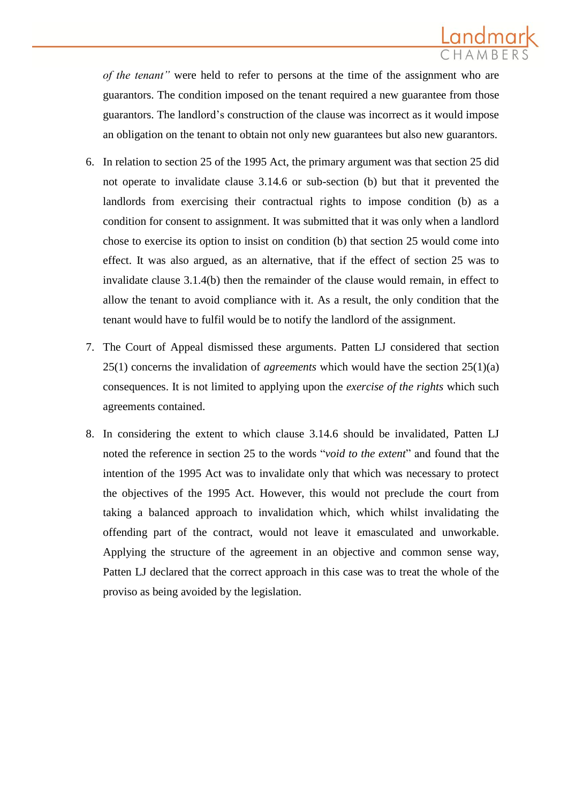

*of the tenant"* were held to refer to persons at the time of the assignment who are guarantors. The condition imposed on the tenant required a new guarantee from those guarantors. The landlord's construction of the clause was incorrect as it would impose an obligation on the tenant to obtain not only new guarantees but also new guarantors.

- 6. In relation to section 25 of the 1995 Act, the primary argument was that section 25 did not operate to invalidate clause 3.14.6 or sub-section (b) but that it prevented the landlords from exercising their contractual rights to impose condition (b) as a condition for consent to assignment. It was submitted that it was only when a landlord chose to exercise its option to insist on condition (b) that section 25 would come into effect. It was also argued, as an alternative, that if the effect of section 25 was to invalidate clause 3.1.4(b) then the remainder of the clause would remain, in effect to allow the tenant to avoid compliance with it. As a result, the only condition that the tenant would have to fulfil would be to notify the landlord of the assignment.
- 7. The Court of Appeal dismissed these arguments. Patten LJ considered that section 25(1) concerns the invalidation of *agreements* which would have the section 25(1)(a) consequences. It is not limited to applying upon the *exercise of the rights* which such agreements contained.
- 8. In considering the extent to which clause 3.14.6 should be invalidated, Patten LJ noted the reference in section 25 to the words "*void to the extent*" and found that the intention of the 1995 Act was to invalidate only that which was necessary to protect the objectives of the 1995 Act. However, this would not preclude the court from taking a balanced approach to invalidation which, which whilst invalidating the offending part of the contract, would not leave it emasculated and unworkable. Applying the structure of the agreement in an objective and common sense way, Patten LJ declared that the correct approach in this case was to treat the whole of the proviso as being avoided by the legislation.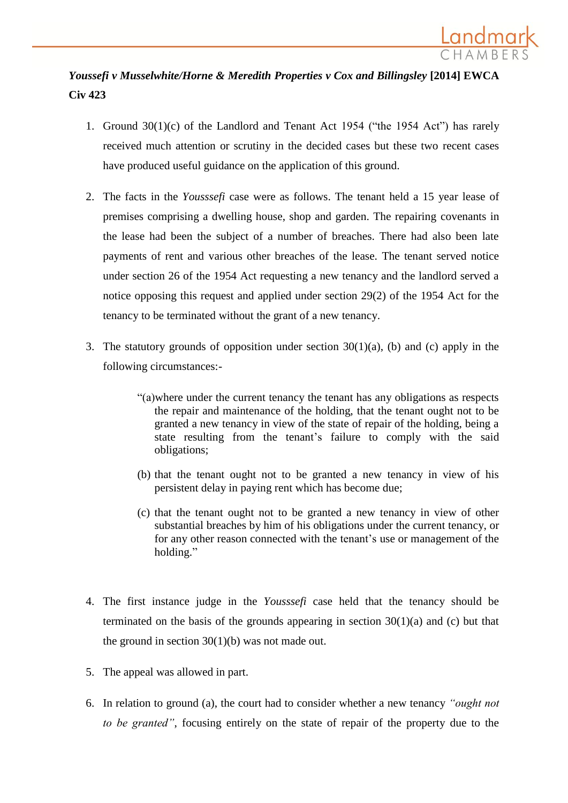

# *Youssefi v Musselwhite/Horne & Meredith Properties v Cox and Billingsley* **[2014] EWCA Civ 423**

- 1. Ground 30(1)(c) of the Landlord and Tenant Act 1954 ("the 1954 Act") has rarely received much attention or scrutiny in the decided cases but these two recent cases have produced useful guidance on the application of this ground.
- 2. The facts in the *Yousssefi* case were as follows. The tenant held a 15 year lease of premises comprising a dwelling house, shop and garden. The repairing covenants in the lease had been the subject of a number of breaches. There had also been late payments of rent and various other breaches of the lease. The tenant served notice under section 26 of the 1954 Act requesting a new tenancy and the landlord served a notice opposing this request and applied under section 29(2) of the 1954 Act for the tenancy to be terminated without the grant of a new tenancy.
- 3. The statutory grounds of opposition under section 30(1)(a), (b) and (c) apply in the following circumstances:-
	- "(a)where under the current tenancy the tenant has any obligations as respects the repair and maintenance of the holding, that the tenant ought not to be granted a new tenancy in view of the state of repair of the holding, being a state resulting from the tenant's failure to comply with the said obligations;
	- (b) that the tenant ought not to be granted a new tenancy in view of his persistent delay in paying rent which has become due;
	- (c) that the tenant ought not to be granted a new tenancy in view of other substantial breaches by him of his obligations under the current tenancy, or for any other reason connected with the tenant's use or management of the holding."
- 4. The first instance judge in the *Yousssefi* case held that the tenancy should be terminated on the basis of the grounds appearing in section  $30(1)(a)$  and (c) but that the ground in section  $30(1)(b)$  was not made out.
- 5. The appeal was allowed in part.
- 6. In relation to ground (a), the court had to consider whether a new tenancy *"ought not to be granted"*, focusing entirely on the state of repair of the property due to the